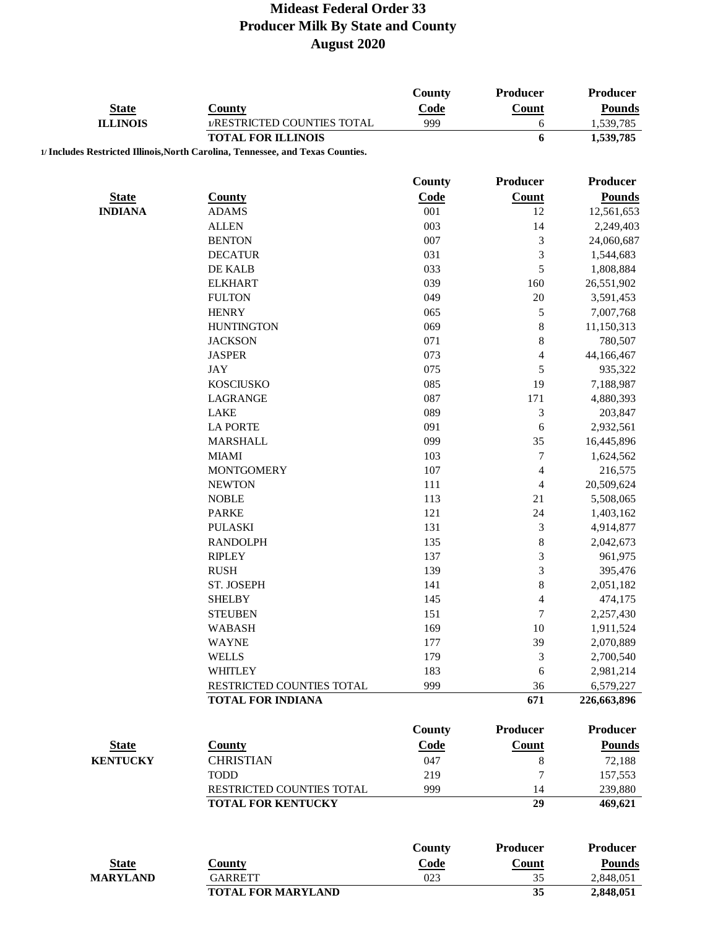|                                |                                                                                 | <b>County</b> | Producer                    | Producer                    |
|--------------------------------|---------------------------------------------------------------------------------|---------------|-----------------------------|-----------------------------|
| <b>State</b>                   | <b>County</b>                                                                   | Code          | Count                       | <b>Pounds</b>               |
| <b>ILLINOIS</b>                | 1/RESTRICTED COUNTIES TOTAL                                                     | 999           | 6                           | 1,539,785                   |
|                                | <b>TOTAL FOR ILLINOIS</b>                                                       |               | 6                           | $\overline{1,}539,785$      |
|                                | 1/ Includes Restricted Illinois, North Carolina, Tennessee, and Texas Counties. |               |                             |                             |
|                                |                                                                                 | <b>County</b> | Producer                    | Producer                    |
|                                |                                                                                 |               |                             |                             |
| <b>State</b><br><b>INDIANA</b> | <b>County</b>                                                                   | Code<br>001   | <b>Count</b><br>12          | <b>Pounds</b><br>12,561,653 |
|                                | <b>ADAMS</b><br><b>ALLEN</b>                                                    | 003           | 14                          | 2,249,403                   |
|                                | <b>BENTON</b>                                                                   | 007           | 3                           | 24,060,687                  |
|                                | <b>DECATUR</b>                                                                  | 031           | 3                           |                             |
|                                | DE KALB                                                                         | 033           | 5                           | 1,544,683<br>1,808,884      |
|                                | <b>ELKHART</b>                                                                  | 039           | 160                         | 26,551,902                  |
|                                |                                                                                 |               | 20                          |                             |
|                                | <b>FULTON</b>                                                                   | 049           |                             | 3,591,453                   |
|                                | <b>HENRY</b>                                                                    | 065           | 5                           | 7,007,768                   |
|                                | <b>HUNTINGTON</b>                                                               | 069           | $\,$ $\,$                   | 11,150,313                  |
|                                | <b>JACKSON</b>                                                                  | 071           | $\,$ 8 $\,$                 | 780,507                     |
|                                | <b>JASPER</b>                                                                   | 073           | 4                           | 44,166,467                  |
|                                | <b>JAY</b>                                                                      | 075           | 5                           | 935,322                     |
|                                | <b>KOSCIUSKO</b>                                                                | 085           | 19                          | 7,188,987                   |
|                                | <b>LAGRANGE</b>                                                                 | 087           | 171                         | 4,880,393                   |
|                                | <b>LAKE</b>                                                                     | 089           | 3                           | 203,847                     |
|                                | <b>LA PORTE</b>                                                                 | 091           | 6                           | 2,932,561                   |
|                                | <b>MARSHALL</b>                                                                 | 099           | 35                          | 16,445,896                  |
|                                | <b>MIAMI</b>                                                                    | 103           | $\boldsymbol{7}$            | 1,624,562                   |
|                                | <b>MONTGOMERY</b>                                                               | 107           | $\overline{4}$              | 216,575                     |
|                                | <b>NEWTON</b>                                                                   | 111           | $\overline{4}$              | 20,509,624                  |
|                                | <b>NOBLE</b>                                                                    | 113           | 21                          | 5,508,065                   |
|                                | <b>PARKE</b>                                                                    | 121           | 24                          | 1,403,162                   |
|                                | <b>PULASKI</b>                                                                  | 131           | $\ensuremath{\mathfrak{Z}}$ | 4,914,877                   |
|                                | <b>RANDOLPH</b>                                                                 | 135           | $\,$ 8 $\,$                 | 2,042,673                   |
|                                | <b>RIPLEY</b>                                                                   | 137           | $\mathfrak{Z}$              | 961,975                     |
|                                | <b>RUSH</b>                                                                     | 139           | 3                           | 395,476                     |
|                                | ST. JOSEPH                                                                      | 141           | $\,$ 8 $\,$                 | 2,051,182                   |
|                                | <b>SHELBY</b>                                                                   | 145           | $\overline{4}$              | 474,175                     |
|                                | <b>STEUBEN</b>                                                                  | 151           | $\boldsymbol{7}$            | 2,257,430                   |
|                                | <b>WABASH</b>                                                                   | 169           | 10                          | 1,911,524                   |
|                                | <b>WAYNE</b>                                                                    | 177           | 39                          | 2,070,889                   |
|                                | <b>WELLS</b>                                                                    | 179           | $\mathfrak{Z}$              | 2,700,540                   |
|                                | <b>WHITLEY</b>                                                                  | 183           | 6                           | 2,981,214                   |
|                                | RESTRICTED COUNTIES TOTAL                                                       | 999           | 36                          | 6,579,227                   |
|                                | <b>TOTAL FOR INDIANA</b>                                                        |               | 671                         | 226,663,896                 |
|                                |                                                                                 |               |                             |                             |
|                                |                                                                                 | <b>County</b> | Producer                    | <b>Producer</b>             |
| <b>State</b>                   | <b>County</b>                                                                   | Code          | Count                       | <b>Pounds</b>               |
| <b>KENTUCKY</b>                | <b>CHRISTIAN</b>                                                                | 047           | $\,$ 8 $\,$                 | 72,188                      |
|                                | <b>TODD</b>                                                                     | 219           | $\overline{7}$              | 157,553                     |
|                                | RESTRICTED COUNTIES TOTAL                                                       | 999           | 14                          | 239,880                     |
|                                | TOTAL FOR KENTUCKY                                                              |               | 29                          | 469,621                     |
|                                |                                                                                 |               |                             |                             |
|                                |                                                                                 | <b>County</b> | Producer                    | Producer                    |
| <b>State</b>                   | <b>County</b>                                                                   | Code          | Count                       | <b>Pounds</b>               |
| <b>MARYLAND</b>                | <b>GARRETT</b>                                                                  | 023           | 35                          | 2,848,051                   |
|                                | <b>TOTAL FOR MARYLAND</b>                                                       |               | 35                          | 2,848,051                   |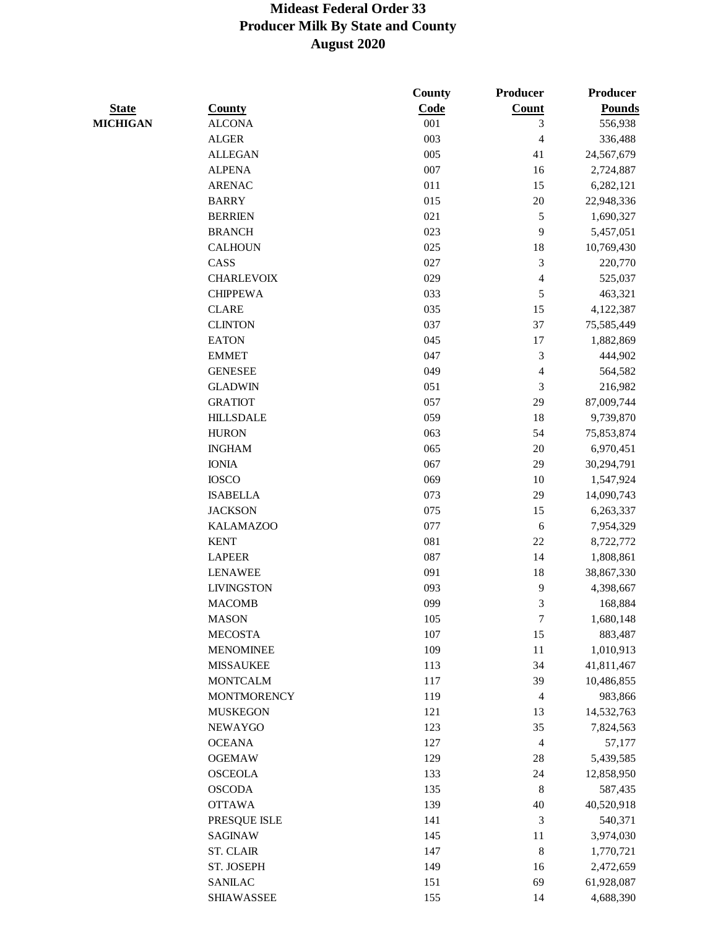|                 |                    | <b>County</b> | <b>Producer</b>  | Producer      |
|-----------------|--------------------|---------------|------------------|---------------|
| <b>State</b>    | <b>County</b>      | Code          | <b>Count</b>     | <b>Pounds</b> |
| <b>MICHIGAN</b> | <b>ALCONA</b>      | 001           | 3                | 556,938       |
|                 | <b>ALGER</b>       | 003           | $\overline{4}$   | 336,488       |
|                 | <b>ALLEGAN</b>     | 005           | 41               | 24,567,679    |
|                 | <b>ALPENA</b>      | 007           | 16               | 2,724,887     |
|                 | <b>ARENAC</b>      | 011           | 15               | 6,282,121     |
|                 | <b>BARRY</b>       | 015           | 20               | 22,948,336    |
|                 | <b>BERRIEN</b>     | 021           | 5                | 1,690,327     |
|                 | <b>BRANCH</b>      | 023           | 9                | 5,457,051     |
|                 | <b>CALHOUN</b>     | 025           | 18               | 10,769,430    |
|                 | CASS               | 027           | $\mathfrak{Z}$   | 220,770       |
|                 | <b>CHARLEVOIX</b>  | 029           | $\overline{4}$   | 525,037       |
|                 | <b>CHIPPEWA</b>    | 033           | 5                | 463,321       |
|                 | <b>CLARE</b>       | 035           | 15               | 4,122,387     |
|                 | <b>CLINTON</b>     | 037           | 37               | 75,585,449    |
|                 | <b>EATON</b>       | 045           | 17               | 1,882,869     |
|                 | <b>EMMET</b>       | 047           | $\mathfrak{Z}$   | 444,902       |
|                 | <b>GENESEE</b>     | 049           | 4                | 564,582       |
|                 | <b>GLADWIN</b>     | 051           | 3                | 216,982       |
|                 | <b>GRATIOT</b>     | 057           | 29               | 87,009,744    |
|                 | <b>HILLSDALE</b>   | 059           | 18               | 9,739,870     |
|                 | <b>HURON</b>       | 063           | 54               | 75,853,874    |
|                 | <b>INGHAM</b>      | 065           | 20               | 6,970,451     |
|                 | <b>IONIA</b>       | 067           | 29               | 30,294,791    |
|                 | <b>IOSCO</b>       | 069           | 10               | 1,547,924     |
|                 | <b>ISABELLA</b>    | 073           | 29               | 14,090,743    |
|                 | <b>JACKSON</b>     | 075           | 15               | 6,263,337     |
|                 | <b>KALAMAZOO</b>   | 077           | 6                | 7,954,329     |
|                 | <b>KENT</b>        | 081           | 22               | 8,722,772     |
|                 | <b>LAPEER</b>      | 087           | 14               | 1,808,861     |
|                 | <b>LENAWEE</b>     | 091           | 18               | 38,867,330    |
|                 | <b>LIVINGSTON</b>  | 093           | 9                | 4,398,667     |
|                 | <b>MACOMB</b>      | 099           | 3                | 168,884       |
|                 | <b>MASON</b>       | 105           | $\boldsymbol{7}$ | 1,680,148     |
|                 | <b>MECOSTA</b>     | 107           | 15               | 883,487       |
|                 | <b>MENOMINEE</b>   | 109           | $11\,$           | 1,010,913     |
|                 | <b>MISSAUKEE</b>   | 113           | 34               | 41,811,467    |
|                 | <b>MONTCALM</b>    | 117           | 39               | 10,486,855    |
|                 | <b>MONTMORENCY</b> | 119           | $\overline{4}$   | 983,866       |
|                 | <b>MUSKEGON</b>    | 121           | 13               | 14,532,763    |
|                 | <b>NEWAYGO</b>     | 123           | 35               | 7,824,563     |
|                 | <b>OCEANA</b>      | 127           | $\overline{4}$   | 57,177        |
|                 | <b>OGEMAW</b>      | 129           | 28               | 5,439,585     |
|                 | <b>OSCEOLA</b>     | 133           | 24               | 12,858,950    |
|                 | <b>OSCODA</b>      | 135           | $\,8\,$          | 587,435       |
|                 | <b>OTTAWA</b>      | 139           | 40               | 40,520,918    |
|                 | PRESQUE ISLE       | 141           | 3                | 540,371       |
|                 | SAGINAW            | 145           | 11               | 3,974,030     |
|                 | <b>ST. CLAIR</b>   | 147           | $\,$ 8 $\,$      | 1,770,721     |
|                 | ST. JOSEPH         | 149           |                  |               |
|                 |                    |               | 16               | 2,472,659     |
|                 | <b>SANILAC</b>     | 151           | 69               | 61,928,087    |
|                 | <b>SHIAWASSEE</b>  | 155           | 14               | 4,688,390     |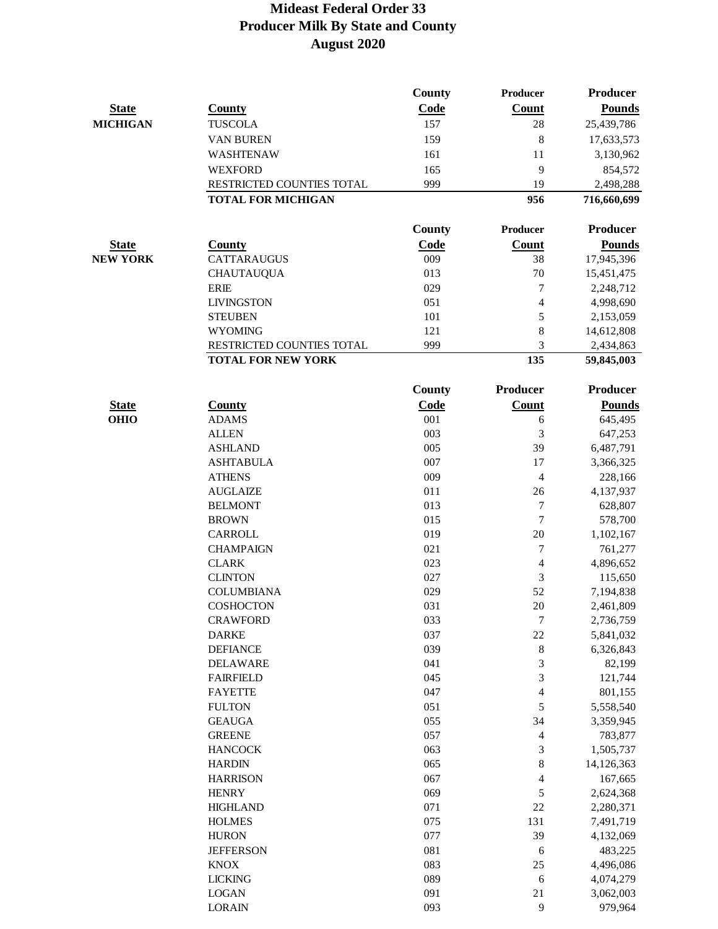|                 |                                                        | <b>County</b> | <b>Producer</b>          | Producer                |
|-----------------|--------------------------------------------------------|---------------|--------------------------|-------------------------|
| <b>State</b>    | <b>County</b>                                          | Code          | Count                    | <b>Pounds</b>           |
| <b>MICHIGAN</b> | <b>TUSCOLA</b>                                         | 157           | 28                       | 25,439,786              |
|                 | VAN BUREN                                              | 159           | 8                        | 17,633,573              |
|                 | WASHTENAW                                              | 161           | 11                       | 3,130,962               |
|                 | <b>WEXFORD</b>                                         | 165           | 9                        | 854,572                 |
|                 | RESTRICTED COUNTIES TOTAL                              | 999           | 19                       | 2,498,288               |
|                 | <b>TOTAL FOR MICHIGAN</b>                              |               | 956                      | 716,660,699             |
|                 |                                                        | <b>County</b> | Producer                 | Producer                |
|                 |                                                        |               | Count                    |                         |
| <b>State</b>    | <b>County</b>                                          | Code          |                          | <b>Pounds</b>           |
| <b>NEW YORK</b> | <b>CATTARAUGUS</b>                                     | 009           | 38                       | 17,945,396              |
|                 | <b>CHAUTAUQUA</b>                                      | 013           | 70                       | 15,451,475              |
|                 | <b>ERIE</b>                                            | 029<br>051    | 7                        | 2,248,712               |
|                 | <b>LIVINGSTON</b>                                      |               | $\overline{\mathcal{L}}$ | 4,998,690               |
|                 | <b>STEUBEN</b>                                         | 101           | 5<br>8                   | 2,153,059               |
|                 | <b>WYOMING</b>                                         | 121           |                          | 14,612,808              |
|                 | RESTRICTED COUNTIES TOTAL<br><b>TOTAL FOR NEW YORK</b> | 999           | 3<br>135                 | 2,434,863<br>59,845,003 |
|                 |                                                        |               | Producer                 | <b>Producer</b>         |
|                 |                                                        | <b>County</b> |                          |                         |
| <b>State</b>    | <b>County</b>                                          | Code          | Count                    | <b>Pounds</b>           |
| <b>OHIO</b>     | <b>ADAMS</b>                                           | 001           | 6                        | 645,495                 |
|                 | <b>ALLEN</b>                                           | 003           | 3                        | 647,253                 |
|                 | <b>ASHLAND</b>                                         | 005<br>007    | 39<br>17                 | 6,487,791               |
|                 | <b>ASHTABULA</b>                                       | 009           |                          | 3,366,325               |
|                 | <b>ATHENS</b><br><b>AUGLAIZE</b>                       | 011           | $\overline{4}$<br>26     | 228,166                 |
|                 | <b>BELMONT</b>                                         | 013           | 7                        | 4,137,937               |
|                 | <b>BROWN</b>                                           | 015           | $\boldsymbol{7}$         | 628,807                 |
|                 | <b>CARROLL</b>                                         | 019           | $20\,$                   | 578,700<br>1,102,167    |
|                 | <b>CHAMPAIGN</b>                                       | 021           | 7                        |                         |
|                 | <b>CLARK</b>                                           | 023           | $\overline{4}$           | 761,277<br>4,896,652    |
|                 | <b>CLINTON</b>                                         | 027           | 3                        | 115,650                 |
|                 | <b>COLUMBIANA</b>                                      | 029           | 52                       | 7,194,838               |
|                 | <b>COSHOCTON</b>                                       | 031           | $20\,$                   | 2,461,809               |
|                 | <b>CRAWFORD</b>                                        | 033           | 7                        | 2,736,759               |
|                 | <b>DARKE</b>                                           | 037           | $22\,$                   | 5,841,032               |
|                 | <b>DEFIANCE</b>                                        | 039           | 8                        | 6,326,843               |
|                 | <b>DELAWARE</b>                                        | 041           | 3                        | 82,199                  |
|                 | <b>FAIRFIELD</b>                                       | 045           | 3                        | 121,744                 |
|                 | <b>FAYETTE</b>                                         | 047           | 4                        | 801,155                 |
|                 | <b>FULTON</b>                                          | 051           | 5                        | 5,558,540               |
|                 | <b>GEAUGA</b>                                          | 055           | 34                       | 3,359,945               |
|                 | <b>GREENE</b>                                          | 057           | 4                        | 783,877                 |
|                 | <b>HANCOCK</b>                                         | 063           | 3                        | 1,505,737               |
|                 | <b>HARDIN</b>                                          | 065           | 8                        | 14,126,363              |
|                 | <b>HARRISON</b>                                        | 067           | 4                        | 167,665                 |
|                 | <b>HENRY</b>                                           | 069           | 5                        | 2,624,368               |
|                 | <b>HIGHLAND</b>                                        | 071           | $22\,$                   | 2,280,371               |
|                 | <b>HOLMES</b>                                          | 075           | 131                      | 7,491,719               |
|                 | <b>HURON</b>                                           | 077           | 39                       | 4,132,069               |
|                 | <b>JEFFERSON</b>                                       | 081           | 6                        | 483,225                 |
|                 | <b>KNOX</b>                                            | 083           | $25\,$                   | 4,496,086               |
|                 | <b>LICKING</b>                                         | 089           | 6                        | 4,074,279               |
|                 | <b>LOGAN</b>                                           | 091           | 21                       | 3,062,003               |
|                 | <b>LORAIN</b>                                          | 093           | $\mathbf{9}$             | 979,964                 |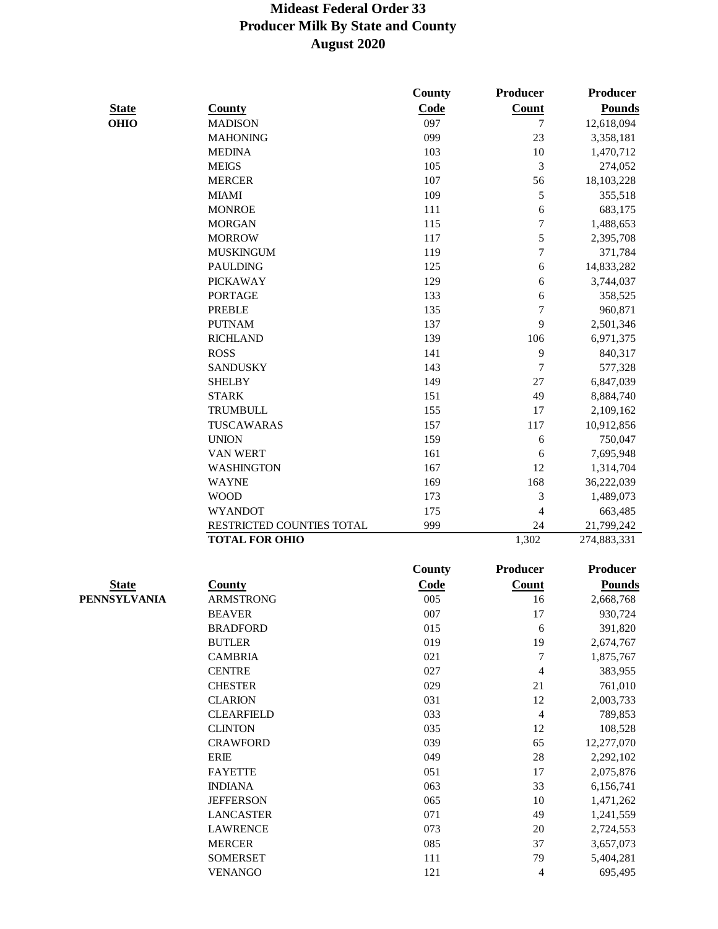|              |                           | <b>County</b> | Producer        | Producer        |
|--------------|---------------------------|---------------|-----------------|-----------------|
| <b>State</b> | <b>County</b>             | Code          | Count           | <b>Pounds</b>   |
| <b>OHIO</b>  | <b>MADISON</b>            | 097           | 7               | 12,618,094      |
|              | <b>MAHONING</b>           | 099           | 23              | 3,358,181       |
|              | <b>MEDINA</b>             | 103           | 10              | 1,470,712       |
|              | <b>MEIGS</b>              | 105           | 3               | 274,052         |
|              | <b>MERCER</b>             | 107           | 56              | 18,103,228      |
|              | <b>MIAMI</b>              | 109           | 5               | 355,518         |
|              | <b>MONROE</b>             | 111           | $\sqrt{6}$      | 683,175         |
|              | <b>MORGAN</b>             | 115           | 7               | 1,488,653       |
|              | <b>MORROW</b>             | 117           | 5               | 2,395,708       |
|              | <b>MUSKINGUM</b>          | 119           | $\overline{7}$  | 371,784         |
|              | <b>PAULDING</b>           | 125           | $\sqrt{6}$      | 14,833,282      |
|              | <b>PICKAWAY</b>           | 129           | 6               | 3,744,037       |
|              | <b>PORTAGE</b>            | 133           | 6               | 358,525         |
|              | <b>PREBLE</b>             | 135           | 7               | 960,871         |
|              | <b>PUTNAM</b>             | 137           | 9               | 2,501,346       |
|              | <b>RICHLAND</b>           | 139           | 106             | 6,971,375       |
|              | <b>ROSS</b>               | 141           | 9               | 840,317         |
|              | <b>SANDUSKY</b>           | 143           | 7               | 577,328         |
|              | <b>SHELBY</b>             | 149           | 27              | 6,847,039       |
|              | <b>STARK</b>              | 151           | 49              | 8,884,740       |
|              | <b>TRUMBULL</b>           | 155           | 17              | 2,109,162       |
|              | TUSCAWARAS                | 157           | 117             | 10,912,856      |
|              | <b>UNION</b>              | 159           | 6               | 750,047         |
|              | <b>VAN WERT</b>           | 161           | 6               | 7,695,948       |
|              | <b>WASHINGTON</b>         | 167           | 12              | 1,314,704       |
|              | <b>WAYNE</b>              | 169           | 168             | 36,222,039      |
|              | <b>WOOD</b>               | 173           | 3               | 1,489,073       |
|              | <b>WYANDOT</b>            | 175           | 4               | 663,485         |
|              | RESTRICTED COUNTIES TOTAL | 999           | 24              | 21,799,242      |
|              | <b>TOTAL FOR OHIO</b>     |               | 1,302           | 274,883,331     |
|              |                           | <b>County</b> | <b>Producer</b> | <b>Producer</b> |
| <b>State</b> | County                    | Code          | <b>Count</b>    | <b>Pounds</b>   |
| PENNSYLVANIA | <b>ARMSTRONG</b>          | 005           | 16              | 2,668,768       |
|              | <b>BEAVER</b>             | 007           | 17              | 930,724         |
|              | <b>BRADFORD</b>           | 015           | 6               | 391,820         |
|              | <b>BUTLER</b>             | 019           | 19              | 2,674,767       |
|              | <b>CAMBRIA</b>            | 021           | 7               | 1,875,767       |
|              | <b>CENTRE</b>             | 027           | 4               | 383,955         |
|              | <b>CHESTER</b>            | 029           | 21              | 761,010         |
|              | <b>CLARION</b>            | 031           | 12              | 2,003,733       |
|              | <b>CLEARFIELD</b>         | 033           | 4               | 789,853         |
|              | <b>CLINTON</b>            | 035           | 12              | 108,528         |
|              | <b>CRAWFORD</b>           | 039           | 65              | 12,277,070      |
|              | <b>ERIE</b>               | 049           | 28              | 2,292,102       |
|              | <b>FAYETTE</b>            | 051           | 17              | 2,075,876       |
|              | <b>INDIANA</b>            | 063           | 33              | 6,156,741       |
|              | <b>JEFFERSON</b>          | 065           | 10              | 1,471,262       |
|              | <b>LANCASTER</b>          | 071           | 49              | 1,241,559       |
|              | <b>LAWRENCE</b>           | 073           | 20              | 2,724,553       |
|              | <b>MERCER</b>             | 085           | 37              | 3,657,073       |
|              | <b>SOMERSET</b>           | 111           | 79              | 5,404,281       |
|              | <b>VENANGO</b>            | 121           | 4               | 695,495         |
|              |                           |               |                 |                 |